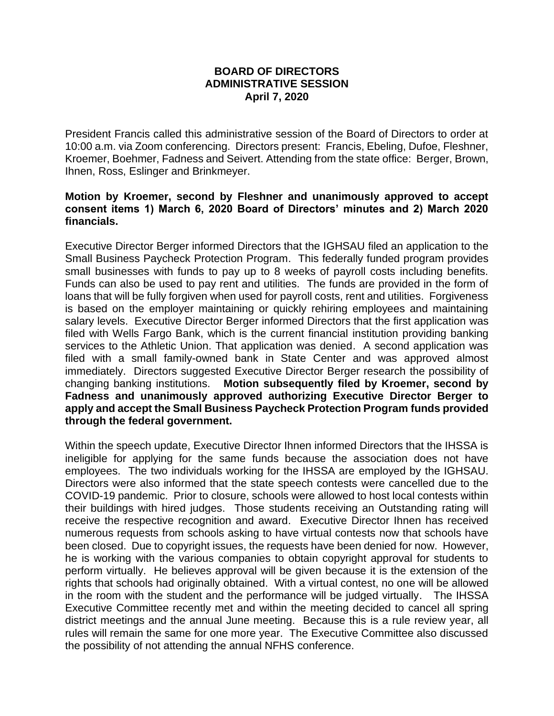## **BOARD OF DIRECTORS ADMINISTRATIVE SESSION April 7, 2020**

President Francis called this administrative session of the Board of Directors to order at 10:00 a.m. via Zoom conferencing. Directors present: Francis, Ebeling, Dufoe, Fleshner, Kroemer, Boehmer, Fadness and Seivert. Attending from the state office: Berger, Brown, Ihnen, Ross, Eslinger and Brinkmeyer.

## **Motion by Kroemer, second by Fleshner and unanimously approved to accept consent items 1) March 6, 2020 Board of Directors' minutes and 2) March 2020 financials.**

Executive Director Berger informed Directors that the IGHSAU filed an application to the Small Business Paycheck Protection Program. This federally funded program provides small businesses with funds to pay up to 8 weeks of payroll costs including benefits. Funds can also be used to pay rent and utilities. The funds are provided in the form of loans that will be fully forgiven when used for payroll costs, rent and utilities. Forgiveness is based on the employer maintaining or quickly rehiring employees and maintaining salary levels. Executive Director Berger informed Directors that the first application was filed with Wells Fargo Bank, which is the current financial institution providing banking services to the Athletic Union. That application was denied. A second application was filed with a small family-owned bank in State Center and was approved almost immediately. Directors suggested Executive Director Berger research the possibility of changing banking institutions. **Motion subsequently filed by Kroemer, second by Fadness and unanimously approved authorizing Executive Director Berger to apply and accept the Small Business Paycheck Protection Program funds provided through the federal government.** 

Within the speech update, Executive Director Ihnen informed Directors that the IHSSA is ineligible for applying for the same funds because the association does not have employees. The two individuals working for the IHSSA are employed by the IGHSAU. Directors were also informed that the state speech contests were cancelled due to the COVID-19 pandemic. Prior to closure, schools were allowed to host local contests within their buildings with hired judges. Those students receiving an Outstanding rating will receive the respective recognition and award. Executive Director Ihnen has received numerous requests from schools asking to have virtual contests now that schools have been closed. Due to copyright issues, the requests have been denied for now. However, he is working with the various companies to obtain copyright approval for students to perform virtually. He believes approval will be given because it is the extension of the rights that schools had originally obtained. With a virtual contest, no one will be allowed in the room with the student and the performance will be judged virtually. The IHSSA Executive Committee recently met and within the meeting decided to cancel all spring district meetings and the annual June meeting. Because this is a rule review year, all rules will remain the same for one more year. The Executive Committee also discussed the possibility of not attending the annual NFHS conference.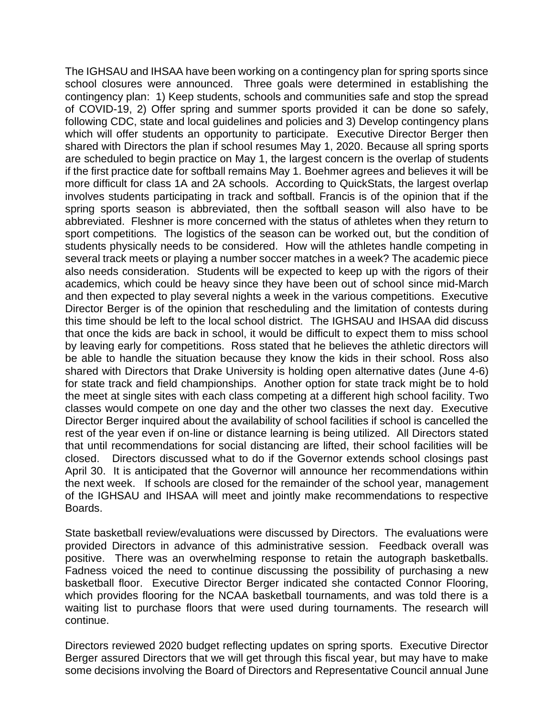The IGHSAU and IHSAA have been working on a contingency plan for spring sports since school closures were announced. Three goals were determined in establishing the contingency plan: 1) Keep students, schools and communities safe and stop the spread of COVID-19, 2) Offer spring and summer sports provided it can be done so safely, following CDC, state and local guidelines and policies and 3) Develop contingency plans which will offer students an opportunity to participate. Executive Director Berger then shared with Directors the plan if school resumes May 1, 2020. Because all spring sports are scheduled to begin practice on May 1, the largest concern is the overlap of students if the first practice date for softball remains May 1. Boehmer agrees and believes it will be more difficult for class 1A and 2A schools. According to QuickStats, the largest overlap involves students participating in track and softball. Francis is of the opinion that if the spring sports season is abbreviated, then the softball season will also have to be abbreviated. Fleshner is more concerned with the status of athletes when they return to sport competitions. The logistics of the season can be worked out, but the condition of students physically needs to be considered. How will the athletes handle competing in several track meets or playing a number soccer matches in a week? The academic piece also needs consideration. Students will be expected to keep up with the rigors of their academics, which could be heavy since they have been out of school since mid-March and then expected to play several nights a week in the various competitions. Executive Director Berger is of the opinion that rescheduling and the limitation of contests during this time should be left to the local school district. The IGHSAU and IHSAA did discuss that once the kids are back in school, it would be difficult to expect them to miss school by leaving early for competitions. Ross stated that he believes the athletic directors will be able to handle the situation because they know the kids in their school. Ross also shared with Directors that Drake University is holding open alternative dates (June 4-6) for state track and field championships. Another option for state track might be to hold the meet at single sites with each class competing at a different high school facility. Two classes would compete on one day and the other two classes the next day. Executive Director Berger inquired about the availability of school facilities if school is cancelled the rest of the year even if on-line or distance learning is being utilized. All Directors stated that until recommendations for social distancing are lifted, their school facilities will be closed. Directors discussed what to do if the Governor extends school closings past April 30. It is anticipated that the Governor will announce her recommendations within the next week. If schools are closed for the remainder of the school year, management of the IGHSAU and IHSAA will meet and jointly make recommendations to respective Boards.

State basketball review/evaluations were discussed by Directors. The evaluations were provided Directors in advance of this administrative session. Feedback overall was positive. There was an overwhelming response to retain the autograph basketballs. Fadness voiced the need to continue discussing the possibility of purchasing a new basketball floor. Executive Director Berger indicated she contacted Connor Flooring, which provides flooring for the NCAA basketball tournaments, and was told there is a waiting list to purchase floors that were used during tournaments. The research will continue.

Directors reviewed 2020 budget reflecting updates on spring sports. Executive Director Berger assured Directors that we will get through this fiscal year, but may have to make some decisions involving the Board of Directors and Representative Council annual June